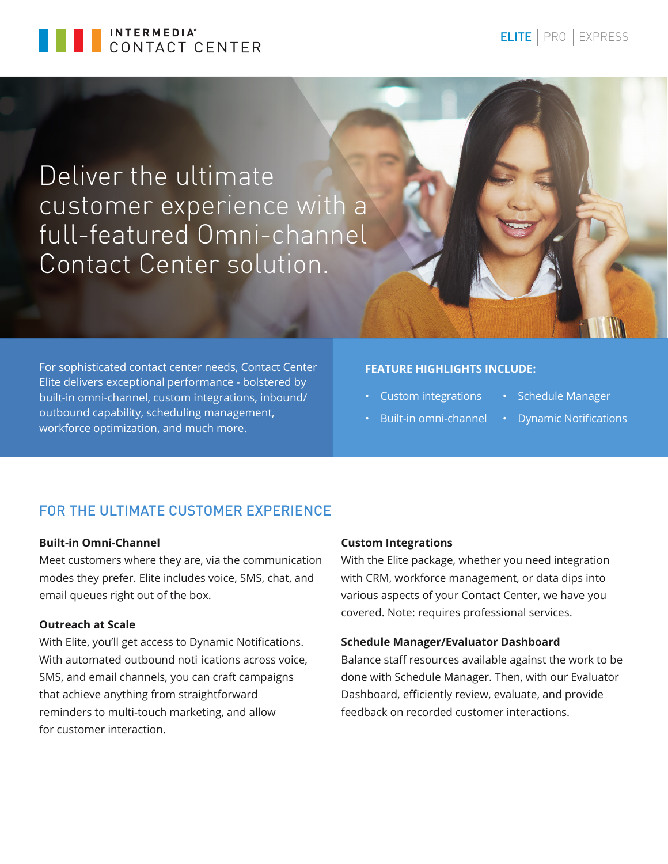

# Deliver the ultimate customer experience with a full-featured Omni-channel Contact Center solution.

For sophisticated contact center needs, Contact Center Elite delivers exceptional performance - bolstered by built-in omni-channel, custom integrations, inbound/ outbound capability, scheduling management, workforce optimization, and much more.

# **FEATURE HIGHLIGHTS INCLUDE:**

- Custom integrations
- Built-in omni-channel
- Schedule Manager
- Dynamic Notifications

# FOR THE ULTIMATE CUSTOMER EXPERIENCE

## **Built-in Omni-Channel**

Meet customers where they are, via the communication modes they prefer. Elite includes voice, SMS, chat, and email queues right out of the box.

## **Outreach at Scale**

With Elite, you'll get access to Dynamic Notifications. With automated outbound noti ications across voice, SMS, and email channels, you can craft campaigns that achieve anything from straightforward reminders to multi-touch marketing, and allow for customer interaction.

#### **Custom Integrations**

With the Elite package, whether you need integration with CRM, workforce management, or data dips into various aspects of your Contact Center, we have you covered. Note: requires professional services.

#### **Schedule Manager/Evaluator Dashboard**

Balance staff resources available against the work to be done with Schedule Manager. Then, with our Evaluator Dashboard, efficiently review, evaluate, and provide feedback on recorded customer interactions.